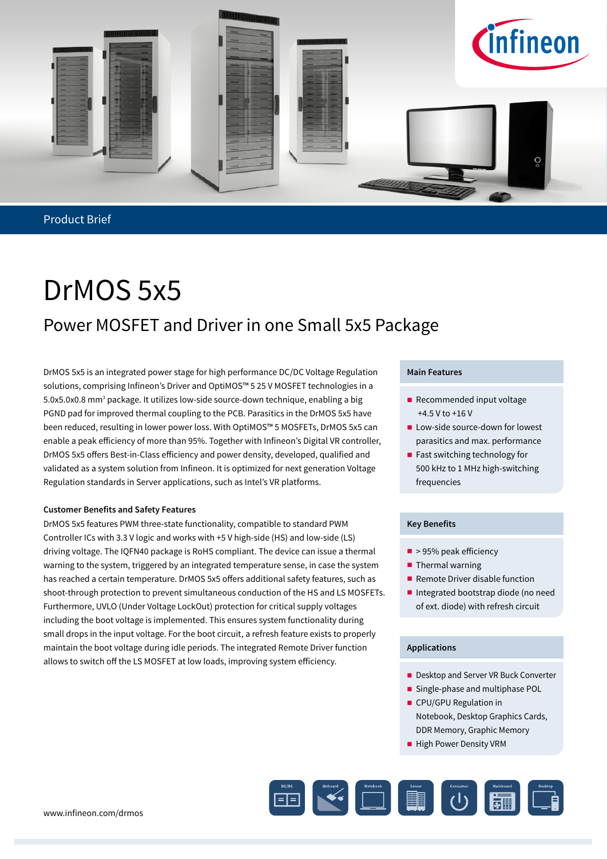

Product Brief

## DrMOS 5x5 Power MOSFET and Driver in one Small 5x5 Package

DrMOS 5x5 is an integrated power stage for high performance DC/DC Voltage Regulation solutions, comprising Infineon's Driver and OptiMOS™ 5 25 V MOSFET technologies in a 5.0x5.0x0.8 mm<sup>3</sup> package. It utilizes low-side source-down technique, enabling a big PGND pad for improved thermal coupling to the PCB. Parasitics in the DrMOS 5x5 have been reduced, resulting in lower power loss. With OptiMOS™ 5 MOSFETs, DrMOS 5x5 can enable a peak efficiency of more than 95%. Together with Infineon's Digital VR controller, DrMOS 5x5 offers Best-in-Class efficiency and power density, developed, qualified and validated as a system solution from Infineon. It is optimized for next generation Voltage Regulation standards in Server applications, such as Intel's VR platforms.

### **Customer Benefits and Safety Features**

DrMOS 5x5 features PWM three-state functionality, compatible to standard PWM Controller ICs with 3.3 V logic and works with +5 V high-side (HS) and low-side (LS) driving voltage. The IQFN40 package is RoHS compliant. The device can issue a thermal warning to the system, triggered by an integrated temperature sense, in case the system has reached a certain temperature. DrMOS 5x5 offers additional safety features, such as shoot-through protection to prevent simultaneous conduction of the HS and LS MOSFETs. Furthermore, UVLO (Under Voltage LockOut) protection for critical supply voltages including the boot voltage is implemented. This ensures system functionality during small drops in the input voltage. For the boot circuit, a refresh feature exists to properly maintain the boot voltage during idle periods. The integrated Remote Driver function allows to switch off the LS MOSFET at low loads, improving system efficiency.

#### **Main Features**

- Recommended input voltage +4.5 V to +16 V
- **Low-side source-down for lowest** parasitics and max. performance
- $\blacksquare$  Fast switching technology for 500 kHz to 1 MHz high-switching frequencies

#### **Key Benefits**

- $\blacksquare$  > 95% peak efficiency
- $\blacksquare$  Thermal warning
- Remote Driver disable function
- Integrated bootstrap diode (no need of ext. diode) with refresh circuit

### **Applications**

- Desktop and Server VR Buck Converter
- Single-phase and multiphase POL
- **CPU/GPU Regulation in** Notebook, Desktop Graphics Cards, DDR Memory, Graphic Memory
- **High Power Density VRM**